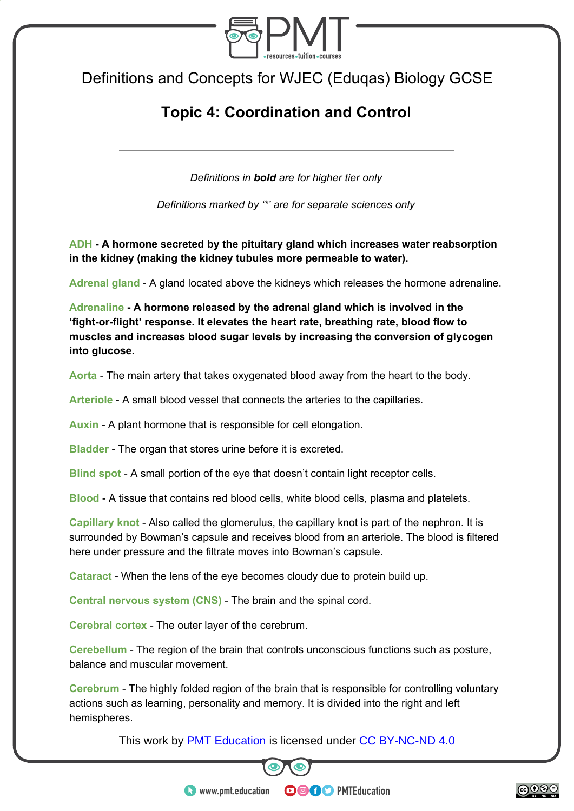

Definitions and Concepts for WJEC (Eduqas) Biology GCSE

## **Topic 4: Coordination and Control**

*Definitions in bold are for higher tier only* 

*Definitions marked by '\*' are for separate sciences only* 

**ADH - A hormone secreted by the pituitary gland which increases water reabsorption in the kidney (making the kidney tubules more permeable to water).** 

**Adrenal gland** - A gland located above the kidneys which releases the hormone adrenaline.

**Adrenaline - A hormone released by the adrenal gland which is involved in the 'fight-or-flight' response. It elevates the heart rate, breathing rate, blood flow to muscles and increases blood sugar levels by increasing the conversion of glycogen into glucose.** 

**Aorta** - The main artery that takes oxygenated blood away from the heart to the body.

**Arteriole** - A small blood vessel that connects the arteries to the capillaries.

**Auxin** - A plant hormone that is responsible for cell elongation.

**Bladder** - The organ that stores urine before it is excreted.

**Blind spot** - A small portion of the eye that doesn't contain light receptor cells.

**Blood** - A tissue that contains red blood cells, white blood cells, plasma and platelets.

**Capillary knot** - Also called the glomerulus, the capillary knot is part of the nephron. It is surrounded by Bowman's capsule and receives blood from an arteriole. The blood is filtered here under pressure and the filtrate moves into Bowman's capsule.

**Cataract** - When the lens of the eye becomes cloudy due to protein build up.

**Central nervous system (CNS)** - The brain and the spinal cord.

**Cerebral cortex** - The outer layer of the cerebrum.

**Cerebellum** - The region of the brain that controls unconscious functions such as posture, balance and muscular movement.

**Cerebrum** - The highly folded region of the brain that is responsible for controlling voluntary actions such as learning, personality and memory. It is divided into the right and left hemispheres.

This work by **PMT Education** is licensed under CC BY-NC-ND 4.0



**OOOO** PMTEducation



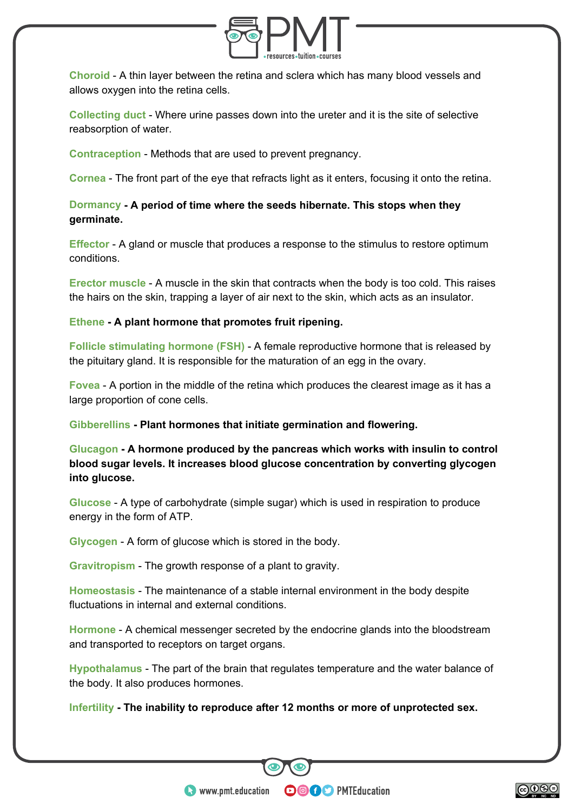

**Choroid** - A thin layer between the retina and sclera which has many blood vessels and allows oxygen into the retina cells.

**Collecting duct** - Where urine passes down into the ureter and it is the site of selective reabsorption of water.

**Contraception** - Methods that are used to prevent pregnancy.

**Cornea** - The front part of the eye that refracts light as it enters, focusing it onto the retina.

**Dormancy - A period of time where the seeds hibernate. This stops when they germinate.** 

**Effector** - A gland or muscle that produces a response to the stimulus to restore optimum conditions.

**Erector muscle** - A muscle in the skin that contracts when the body is too cold. This raises the hairs on the skin, trapping a layer of air next to the skin, which acts as an insulator.

**Ethene - A plant hormone that promotes fruit ripening.** 

**Follicle stimulating hormone (FSH)** - A female reproductive hormone that is released by the pituitary gland. It is responsible for the maturation of an egg in the ovary.

**Fovea** - A portion in the middle of the retina which produces the clearest image as it has a large proportion of cone cells.

**Gibberellins - Plant hormones that initiate germination and flowering.** 

**Glucagon - A hormone produced by the pancreas which works with insulin to control blood sugar levels. It increases blood glucose concentration by converting glycogen into glucose.** 

**Glucose** - A type of carbohydrate (simple sugar) which is used in respiration to produce energy in the form of ATP.

**Glycogen** - A form of glucose which is stored in the body.

**Gravitropism** - The growth response of a plant to gravity.

**Homeostasis** - The maintenance of a stable internal environment in the body despite fluctuations in internal and external conditions.

**Hormone** - A chemical messenger secreted by the endocrine glands into the bloodstream and transported to receptors on target organs.

**Hypothalamus** - The part of the brain that regulates temperature and the water balance of the body. It also produces hormones.

**OOOO** PMTEducation

**Infertility - The inability to reproduce after 12 months or more of unprotected sex.** 

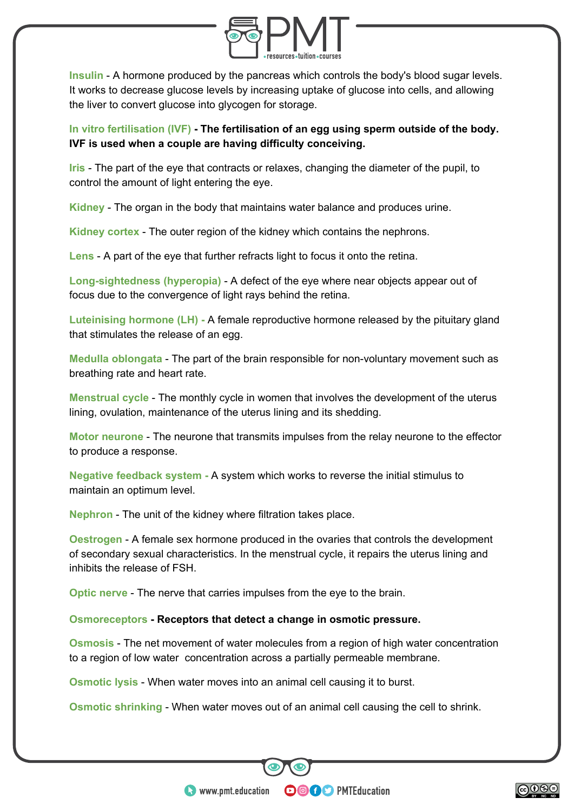

**Insulin** - A hormone produced by the pancreas which controls the body's blood sugar levels. It works to decrease glucose levels by increasing uptake of glucose into cells, and allowing the liver to convert glucose into glycogen for storage.

**In vitro fertilisation (IVF) - The fertilisation of an egg using sperm outside of the body. IVF is used when a couple are having difficulty conceiving.** 

**Iris** - The part of the eye that contracts or relaxes, changing the diameter of the pupil, to control the amount of light entering the eye.

**Kidney** - The organ in the body that maintains water balance and produces urine.

**Kidney cortex** - The outer region of the kidney which contains the nephrons.

**Lens** - A part of the eye that further refracts light to focus it onto the retina.

**Long-sightedness (hyperopia)** - A defect of the eye where near objects appear out of focus due to the convergence of light rays behind the retina.

**Luteinising hormone (LH) -** A female reproductive hormone released by the pituitary gland that stimulates the release of an egg.

**Medulla oblongata** - The part of the brain responsible for non-voluntary movement such as breathing rate and heart rate.

**Menstrual cycle** - The monthly cycle in women that involves the development of the uterus lining, ovulation, maintenance of the uterus lining and its shedding.

**Motor neurone** - The neurone that transmits impulses from the relay neurone to the effector to produce a response.

**Negative feedback system -** A system which works to reverse the initial stimulus to maintain an optimum level.

**Nephron** - The unit of the kidney where filtration takes place.

**Oestrogen** - A female sex hormone produced in the ovaries that controls the development of secondary sexual characteristics. In the menstrual cycle, it repairs the uterus lining and inhibits the release of FSH.

**Optic nerve** - The nerve that carries impulses from the eye to the brain.

## **Osmoreceptors - Receptors that detect a change in osmotic pressure.**

**Osmosis** - The net movement of water molecules from a region of high water concentration to a region of low water concentration across a partially permeable membrane.

**Osmotic lysis** - When water moves into an animal cell causing it to burst.

**Osmotic shrinking** - When water moves out of an animal cell causing the cell to shrink.

**OOOO** PMTEducation

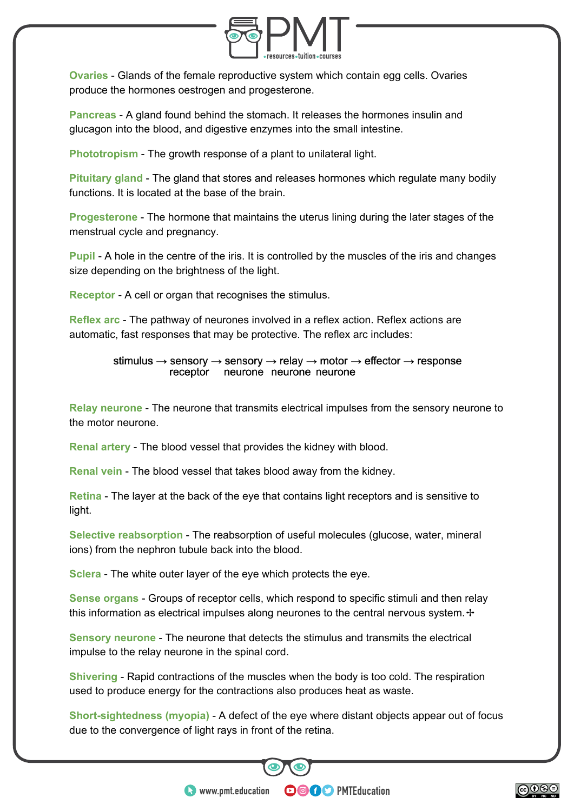

**Ovaries** - Glands of the female reproductive system which contain egg cells. Ovaries produce the hormones oestrogen and progesterone.

**Pancreas** - A gland found behind the stomach. It releases the hormones insulin and glucagon into the blood, and digestive enzymes into the small intestine.

**Phototropism** - The growth response of a plant to unilateral light.

**Pituitary gland** - The gland that stores and releases hormones which regulate many bodily functions. It is located at the base of the brain.

**Progesterone** - The hormone that maintains the uterus lining during the later stages of the menstrual cycle and pregnancy.

**Pupil** - A hole in the centre of the iris. It is controlled by the muscles of the iris and changes size depending on the brightness of the light.

**Receptor** - A cell or organ that recognises the stimulus.

**Reflex arc** - The pathway of neurones involved in a reflex action. Reflex actions are automatic, fast responses that may be protective. The reflex arc includes:

> stimulus  $\rightarrow$  sensory  $\rightarrow$  sensory  $\rightarrow$  relay  $\rightarrow$  motor  $\rightarrow$  effector  $\rightarrow$  response receptor neurone neurone neurone

**Relay neurone** - The neurone that transmits electrical impulses from the sensory neurone to the motor neurone.

**Renal artery** - The blood vessel that provides the kidney with blood.

**Renal vein** - The blood vessel that takes blood away from the kidney.

**Retina** - The layer at the back of the eye that contains light receptors and is sensitive to light.

**Selective reabsorption** - The reabsorption of useful molecules (glucose, water, mineral ions) from the nephron tubule back into the blood.

**Sclera** - The white outer layer of the eye which protects the eye.

**Sense organs** - Groups of receptor cells, which respond to specific stimuli and then relay this information as electrical impulses along neurones to the central nervous system. ↑

**Sensory neurone** - The neurone that detects the stimulus and transmits the electrical impulse to the relay neurone in the spinal cord.

**Shivering** - Rapid contractions of the muscles when the body is too cold. The respiration used to produce energy for the contractions also produces heat as waste.

**Short-sightedness (myopia)** - A defect of the eye where distant objects appear out of focus due to the convergence of light rays in front of the retina.

**OOOO** PMTEducation